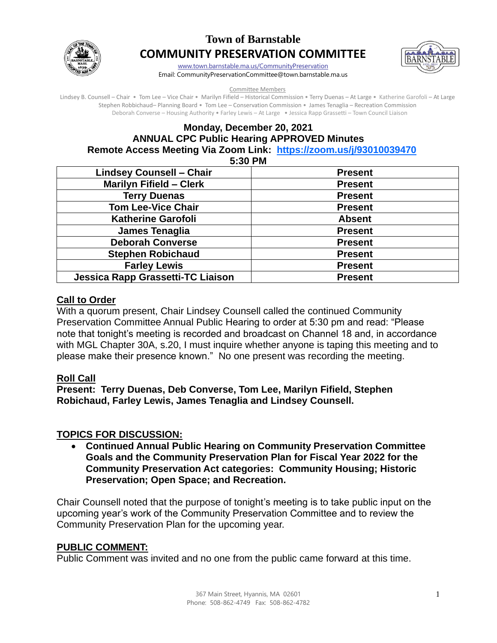

# **Town of Barnstable COMMUNITY PRESERVATION COMMITTEE**



[www.town.barnstable.ma.us/CommunityPreservation](http://www.town.barnstable.ma.us/CommunityPreservation)

Email: CommunityPreservationCommittee@town.barnstable.ma.us

#### Committee Members

Lindsey B. Counsell – Chair • Tom Lee – Vice Chair • Marilyn Fifield – Historical Commission • Terry Duenas – At Large • Katherine Garofoli – At Large Stephen Robbichaud– Planning Board • Tom Lee – Conservation Commission • James Tenaglia – Recreation Commission Deborah Converse – Housing Authority • Farley Lewis – At Large • Jessica Rapp Grassetti – Town Council Liaison

## **Monday, December 20, 2021 ANNUAL CPC Public Hearing APPROVED Minutes Remote Access Meeting Via Zoom Link: <https://zoom.us/j/93010039470>**

**5:30 PM** 

| <b>Lindsey Counsell - Chair</b>          | <b>Present</b> |
|------------------------------------------|----------------|
| <b>Marilyn Fifield - Clerk</b>           | <b>Present</b> |
| <b>Terry Duenas</b>                      | <b>Present</b> |
| <b>Tom Lee-Vice Chair</b>                | <b>Present</b> |
| <b>Katherine Garofoli</b>                | <b>Absent</b>  |
| James Tenaglia                           | <b>Present</b> |
| <b>Deborah Converse</b>                  | <b>Present</b> |
| <b>Stephen Robichaud</b>                 | <b>Present</b> |
| <b>Farley Lewis</b>                      | <b>Present</b> |
| <b>Jessica Rapp Grassetti-TC Liaison</b> | <b>Present</b> |

#### **Call to Order**

With a quorum present, Chair Lindsey Counsell called the continued Community Preservation Committee Annual Public Hearing to order at 5:30 pm and read: "Please note that tonight's meeting is recorded and broadcast on Channel 18 and, in accordance with MGL Chapter 30A, s.20, I must inquire whether anyone is taping this meeting and to please make their presence known." No one present was recording the meeting.

### **Roll Call**

**Present: Terry Duenas, Deb Converse, Tom Lee, Marilyn Fifield, Stephen Robichaud, Farley Lewis, James Tenaglia and Lindsey Counsell.** 

### **TOPICS FOR DISCUSSION:**

• **Continued Annual Public Hearing on Community Preservation Committee Goals and the Community Preservation Plan for Fiscal Year 2022 for the Community Preservation Act categories: Community Housing; Historic Preservation; Open Space; and Recreation.**

Chair Counsell noted that the purpose of tonight's meeting is to take public input on the upcoming year's work of the Community Preservation Committee and to review the Community Preservation Plan for the upcoming year.

### **PUBLIC COMMENT:**

Public Comment was invited and no one from the public came forward at this time.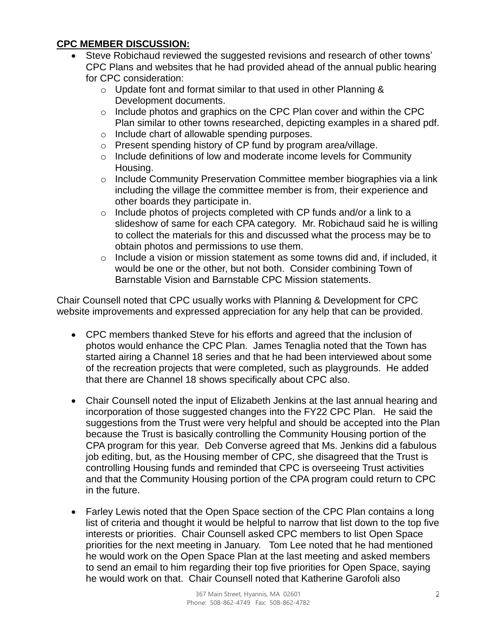## **CPC MEMBER DISCUSSION:**

- Steve Robichaud reviewed the suggested revisions and research of other towns' CPC Plans and websites that he had provided ahead of the annual public hearing for CPC consideration:
	- o Update font and format similar to that used in other Planning & Development documents.
	- o Include photos and graphics on the CPC Plan cover and within the CPC Plan similar to other towns researched, depicting examples in a shared pdf.
	- o Include chart of allowable spending purposes.
	- $\circ$  Present spending history of CP fund by program area/village.
	- o Include definitions of low and moderate income levels for Community Housing.
	- o Include Community Preservation Committee member biographies via a link including the village the committee member is from, their experience and other boards they participate in.
	- $\circ$  Include photos of projects completed with CP funds and/or a link to a slideshow of same for each CPA category. Mr. Robichaud said he is willing to collect the materials for this and discussed what the process may be to obtain photos and permissions to use them.
	- $\circ$  Include a vision or mission statement as some towns did and, if included, it would be one or the other, but not both. Consider combining Town of Barnstable Vision and Barnstable CPC Mission statements.

Chair Counsell noted that CPC usually works with Planning & Development for CPC website improvements and expressed appreciation for any help that can be provided.

- CPC members thanked Steve for his efforts and agreed that the inclusion of photos would enhance the CPC Plan. James Tenaglia noted that the Town has started airing a Channel 18 series and that he had been interviewed about some of the recreation projects that were completed, such as playgrounds. He added that there are Channel 18 shows specifically about CPC also.
- Chair Counsell noted the input of Elizabeth Jenkins at the last annual hearing and incorporation of those suggested changes into the FY22 CPC Plan. He said the suggestions from the Trust were very helpful and should be accepted into the Plan because the Trust is basically controlling the Community Housing portion of the CPA program for this year. Deb Converse agreed that Ms. Jenkins did a fabulous job editing, but, as the Housing member of CPC, she disagreed that the Trust is controlling Housing funds and reminded that CPC is overseeing Trust activities and that the Community Housing portion of the CPA program could return to CPC in the future.
- Farley Lewis noted that the Open Space section of the CPC Plan contains a long list of criteria and thought it would be helpful to narrow that list down to the top five interests or priorities. Chair Counsell asked CPC members to list Open Space priorities for the next meeting in January. Tom Lee noted that he had mentioned he would work on the Open Space Plan at the last meeting and asked members to send an email to him regarding their top five priorities for Open Space, saying he would work on that. Chair Counsell noted that Katherine Garofoli also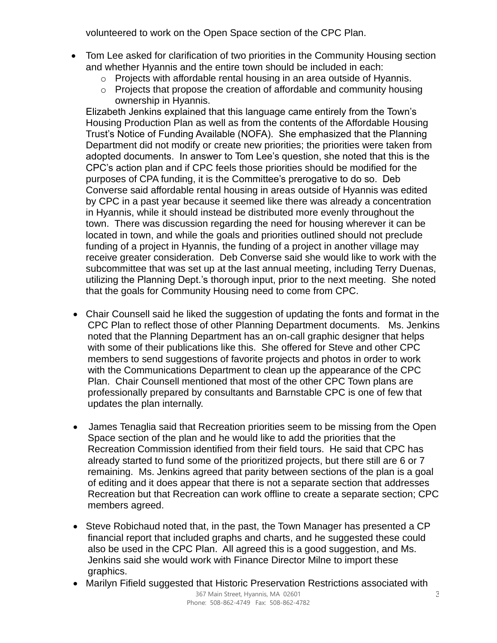volunteered to work on the Open Space section of the CPC Plan.

- Tom Lee asked for clarification of two priorities in the Community Housing section and whether Hyannis and the entire town should be included in each:
	- o Projects with affordable rental housing in an area outside of Hyannis.
	- o Projects that propose the creation of affordable and community housing ownership in Hyannis.

Elizabeth Jenkins explained that this language came entirely from the Town's Housing Production Plan as well as from the contents of the Affordable Housing Trust's Notice of Funding Available (NOFA). She emphasized that the Planning Department did not modify or create new priorities; the priorities were taken from adopted documents. In answer to Tom Lee's question, she noted that this is the CPC's action plan and if CPC feels those priorities should be modified for the purposes of CPA funding, it is the Committee's prerogative to do so. Deb Converse said affordable rental housing in areas outside of Hyannis was edited by CPC in a past year because it seemed like there was already a concentration in Hyannis, while it should instead be distributed more evenly throughout the town. There was discussion regarding the need for housing wherever it can be located in town, and while the goals and priorities outlined should not preclude funding of a project in Hyannis, the funding of a project in another village may receive greater consideration. Deb Converse said she would like to work with the subcommittee that was set up at the last annual meeting, including Terry Duenas, utilizing the Planning Dept.'s thorough input, prior to the next meeting. She noted that the goals for Community Housing need to come from CPC.

- Chair Counsell said he liked the suggestion of updating the fonts and format in the CPC Plan to reflect those of other Planning Department documents. Ms. Jenkins noted that the Planning Department has an on-call graphic designer that helps with some of their publications like this. She offered for Steve and other CPC members to send suggestions of favorite projects and photos in order to work with the Communications Department to clean up the appearance of the CPC Plan. Chair Counsell mentioned that most of the other CPC Town plans are professionally prepared by consultants and Barnstable CPC is one of few that updates the plan internally.
- James Tenaglia said that Recreation priorities seem to be missing from the Open Space section of the plan and he would like to add the priorities that the Recreation Commission identified from their field tours. He said that CPC has already started to fund some of the prioritized projects, but there still are 6 or 7 remaining. Ms. Jenkins agreed that parity between sections of the plan is a goal of editing and it does appear that there is not a separate section that addresses Recreation but that Recreation can work offline to create a separate section; CPC members agreed.
- Steve Robichaud noted that, in the past, the Town Manager has presented a CP financial report that included graphs and charts, and he suggested these could also be used in the CPC Plan. All agreed this is a good suggestion, and Ms. Jenkins said she would work with Finance Director Milne to import these graphics.
- Marilyn Fifield suggested that Historic Preservation Restrictions associated with